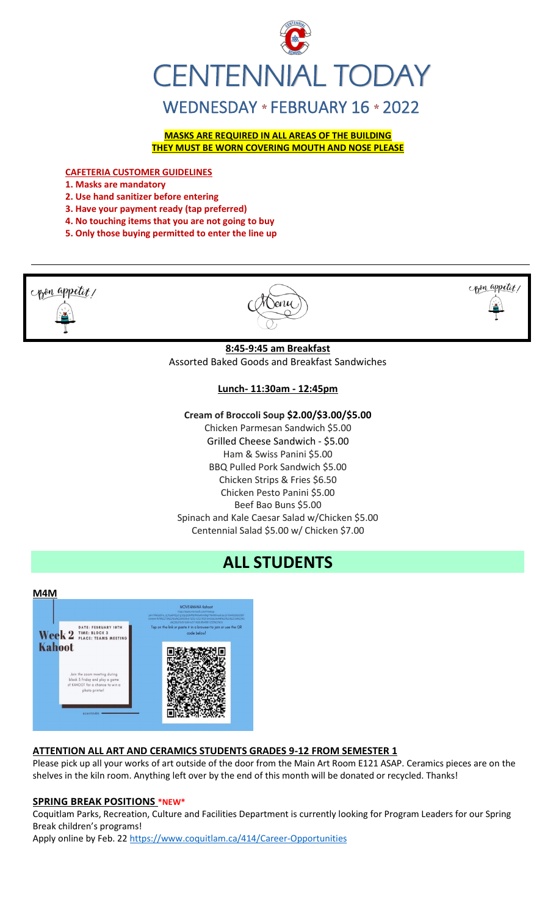

**MASKS ARE REQUIRED IN ALL AREAS OF THE BUILDING THEY MUST BE WORN COVERING MOUTH AND NOSE PLEASE**

#### **CAFETERIA CUSTOMER GUIDELINES**

**1. Masks are mandatory**

- **2. Use hand sanitizer before entering**
- **3. Have your payment ready (tap preferred)**
- **4. No touching items that you are not going to buy**
- **5. Only those buying permitted to enter the line up**



### **Lunch- 11:30am - 12:45pm**

### **Cream of Broccoli Soup \$2.00/\$3.00/\$5.00**

Chicken Parmesan Sandwich \$5.00 Grilled Cheese Sandwich - \$5.00 Ham & Swiss Panini \$5.00 BBQ Pulled Pork Sandwich \$5.00 Chicken Strips & Fries \$6.50 Chicken Pesto Panini \$5.00 Beef Bao Buns \$5.00 Spinach and Kale Caesar Salad w/Chicken \$5.00 Centennial Salad \$5.00 w/ Chicken \$7.00

# **ALL STUDENTS**



### **ATTENTION ALL ART AND CERAMICS STUDENTS GRADES 9-12 FROM SEMESTER 1**

Please pick up all your works of art outside of the door from the Main Art Room E121 ASAP. Ceramics pieces are on the shelves in the kiln room. Anything left over by the end of this month will be donated or recycled. Thanks!

#### **SPRING BREAK POSITIONS \*NEW\***

Coquitlam Parks, Recreation, Culture and Facilities Department is currently looking for Program Leaders for our Spring Break children's programs!

Apply online by Feb. 2[2 https://www.coquitlam.ca/414/Career-Opportunities](https://www.coquitlam.ca/414/Career-Opportunities)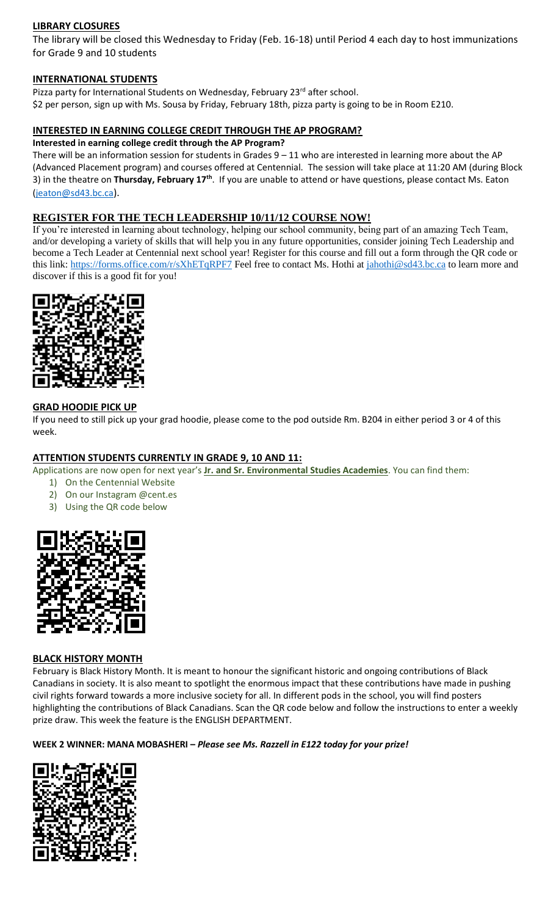### **LIBRARY CLOSURES**

The library will be closed this Wednesday to Friday (Feb. 16-18) until Period 4 each day to host immunizations for Grade 9 and 10 students

### **INTERNATIONAL STUDENTS**

Pizza party for International Students on Wednesday, February 23<sup>rd</sup> after school. \$2 per person, sign up with Ms. Sousa by Friday, February 18th, pizza party is going to be in Room E210.

### **INTERESTED IN EARNING COLLEGE CREDIT THROUGH THE AP PROGRAM?**

**Interested in earning college credit through the AP Program?**

There will be an information session for students in Grades 9 – 11 who are interested in learning more about the AP (Advanced Placement program) and courses offered at Centennial. The session will take place at 11:20 AM (during Block 3) in the theatre on **Thursday, February 17th** . If you are unable to attend or have questions, please contact Ms. Eaton [\(jeaton@sd43.bc.ca](mailto:jeaton@sd43.bc.ca)).

### **REGISTER FOR THE TECH LEADERSHIP 10/11/12 COURSE NOW!**

If you're interested in learning about technology, helping our school community, being part of an amazing Tech Team, and/or developing a variety of skills that will help you in any future opportunities, consider joining Tech Leadership and become a Tech Leader at Centennial next school year! Register for this course and fill out a form through the QR code or this link:<https://forms.office.com/r/sXhETqRPF7> Feel free to contact Ms. Hothi at [jahothi@sd43.bc.ca](mailto:jahothi@sd43.bc.ca) to learn more and discover if this is a good fit for you!



### **GRAD HOODIE PICK UP**

If you need to still pick up your grad hoodie, please come to the pod outside Rm. B204 in either period 3 or 4 of this week.

### **ATTENTION STUDENTS CURRENTLY IN GRADE 9, 10 AND 11:**

Applications are now open for next year's **Jr. and Sr. Environmental Studies Academies**. You can find them:

- 1) On the Centennial Website
- 2) On our Instagram @cent.es
- 3) Using the QR code below



#### **BLACK HISTORY MONTH**

February is Black History Month. It is meant to honour the significant historic and ongoing contributions of Black Canadians in society. It is also meant to spotlight the enormous impact that these contributions have made in pushing civil rights forward towards a more inclusive society for all. In different pods in the school, you will find posters highlighting the contributions of Black Canadians. Scan the QR code below and follow the instructions to enter a weekly prize draw. This week the feature is the ENGLISH DEPARTMENT.

**WEEK 2 WINNER: MANA MOBASHERI –** *Please see Ms. Razzell in E122 today for your prize!*

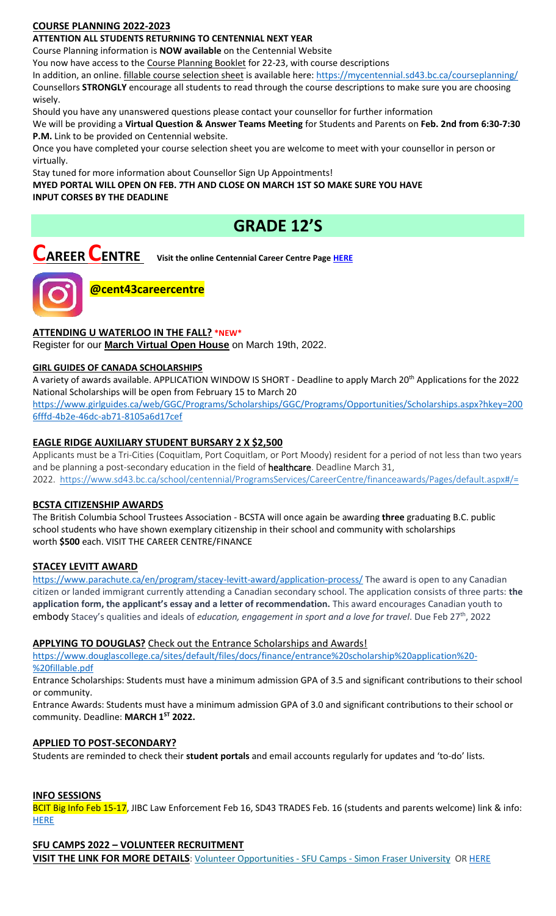# **COURSE PLANNING 2022-2023**

# **ATTENTION ALL STUDENTS RETURNING TO CENTENNIAL NEXT YEAR**

Course Planning information is **NOW available** on the Centennial Website

You now have access to the Course Planning Booklet for 22-23, with course descriptions

In addition, an online. *fillable course selection sheet* is available here:<https://mycentennial.sd43.bc.ca/courseplanning/> Counsellors **STRONGLY** encourage all students to read through the course descriptions to make sure you are choosing wisely.

Should you have any unanswered questions please contact your counsellor for further information

We will be providing a **Virtual Question & Answer Teams Meeting** for Students and Parents on **Feb. 2nd from 6:30-7:30 P.M.** Link to be provided on Centennial website.

Once you have completed your course selection sheet you are welcome to meet with your counsellor in person or virtually.

Stay tuned for more information about Counsellor Sign Up Appointments!

**MYED PORTAL WILL OPEN ON FEB. 7TH AND CLOSE ON MARCH 1ST SO MAKE SURE YOU HAVE INPUT CORSES BY THE DEADLINE** 

# **GRADE 12'S**

# **CAREER CENTRE Visit the online Centennial Career Centre Page [HERE](https://www.sd43.bc.ca/school/centennial/ProgramsServices/CareerCentre/experiences/Pages/default.aspx#/=)**



**@cent43careercentre** 

## **ATTENDING U WATERLOO IN THE FALL? \*NEW\***

Register for our **[March Virtual Open House](https://uwaterloo.us3.list-manage.com/track/click?u=a81bb5075c90cdf7258cb7029&id=a88e5ad2bb&e=c0c4fc71cc)** on March 19th, 2022.

### **GIRL GUIDES OF CANADA SCHOLARSHIPS**

A variety of awards available. APPLICATION WINDOW IS SHORT - Deadline to apply March 20th Applications for the 2022 National Scholarships will be open from February 15 to March 20 [https://www.girlguides.ca/web/GGC/Programs/Scholarships/GGC/Programs/Opportunities/Scholarships.aspx?hkey=200](https://www.girlguides.ca/web/GGC/Programs/Scholarships/GGC/Programs/Opportunities/Scholarships.aspx?hkey=2006fffd-4b2e-​46dc-ab71-8105a6d17cef)

[6fffd-4b2e-46dc-ab71-8105a6d17cef](https://www.girlguides.ca/web/GGC/Programs/Scholarships/GGC/Programs/Opportunities/Scholarships.aspx?hkey=2006fffd-4b2e-​46dc-ab71-8105a6d17cef)

## **EAGLE RIDGE AUXILIARY STUDENT BURSARY 2 X \$2,500**

Applicants must be a Tri-Cities (Coquitlam, Port Coquitlam, or Port Moody) resident for a period of not less than two years and be planning a post-secondary education in the field of healthcare. Deadline March 31, 2022. <https://www.sd43.bc.ca/school/centennial/ProgramsServices/CareerCentre/financeawards/Pages/default.aspx#/=>

### **BCSTA CITIZENSHIP AWARDS**

The British Columbia School Trustees Association - BCSTA will once again be awarding **three** graduating B.C. public school students who have shown exemplary citizenship in their school and community with scholarships worth **\$500** each. VISIT THE CAREER CENTRE/FINANCE

### **STACEY LEVITT AWARD**

[https://www.parachute.ca/en/program/stacey-levitt-award/application-process/](file://///d00-v02-p01/Shared_Data/076/Staff_Shared/Office/centennial%20today/Centennial%20Today%202021-2022/February%202022/​https:/www.parachute.ca/en/program/stacey-levitt-award/application-process/) The award is open to any Canadian citizen or landed immigrant currently attending a Canadian secondary school. The application consists of three parts: **the application form, the applicant's essay and a letter of recommendation.** This award encourages Canadian youth to embody Stacey's qualities and ideals of *education, engagement in sport and a love for travel*. Due Feb 27th, 2022

### **APPLYING TO DOUGLAS?** Check out the Entrance Scholarships and Awards!

[https://www.douglascollege.ca/sites/default/files/docs/finance/entrance%20scholarship%20application%20-](https://www.douglascollege.ca/sites/default/files/docs/finance/entrance%20scholarship%20application%20-%20fillable.pdf) [%20fillable.pdf](https://www.douglascollege.ca/sites/default/files/docs/finance/entrance%20scholarship%20application%20-%20fillable.pdf)

Entrance Scholarships: Students must have a minimum admission GPA of 3.5 and significant contributions to their school or community.

Entrance Awards: Students must have a minimum admission GPA of 3.0 and significant contributions to their school or community. Deadline: **MARCH 1ST 2022.**

### **APPLIED TO POST-SECONDARY?**

Students are reminded to check their **student portals** and email accounts regularly for updates and 'to-do' lists.

### **INFO SESSIONS**

BCIT Big Info Feb 15-17, JIBC Law Enforcement Feb 16, SD43 TRADES Feb. 16 (students and parents welcome) link & info: **[HERE](https://www.sd43.bc.ca/school/centennial/ProgramsServices/CareerCentre/postsecondary/Pages/default.aspx#/=)** 

# **SFU CAMPS 2022 – VOLUNTEER RECRUITMENT**

**VISIT THE LINK FOR MORE DETAILS**: [Volunteer Opportunities -](https://www.sfu.ca/camps/opportunities/volunteer-opportunities.html) SFU Camps - Simon Fraser University O[R HERE](https://www.sd43.bc.ca/school/centennial/ProgramsServices/CareerCentre/experiences/Pages/default.aspx#/=)